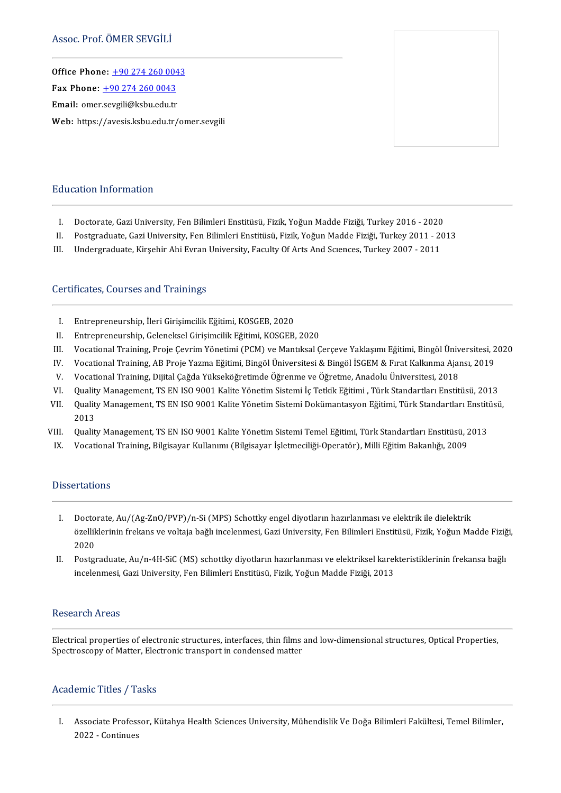Office Phone: [+902742600043](tel:+90 274 260 0043) —<br>Office Phone: <u>+90 274 260 004</u><br>Fax Phone: <u>+90 274 260 0043</u> Fax Phone:  $\pm 90\ 274\ 260\ 0043$ <br>Email: omer[.sevgili@ksbu.edu.tr](tel:+90 274 260 0043) Web: https://avesis.ksbu.edu.tr/omer.sevgili



#### Education Information

- I. Doctorate, Gazi University, Fen Bilimleri Enstitüsü, Fizik, Yoğun Madde Fiziği, Turkey 2016 2020<br>II. Postgraduate. Gazi University. Fen Bilimleri Enstitüsü. Fizik. Yoğun Madde Fiziği. Turkey 2011 20
- II. Postgraduate, Gazi University, Fen Bilimleri Enstitüsü, Fizik, Yoğun Madde Fiziği, Turkey 2011 2013<br>III. Undergraduate, Kirsehir Ahi Evran Universitv, Facultv Of Arts And Sciences, Turkev 2007 2011
- Undergraduate, Kirşehir Ahi Evran University, Faculty Of Arts And Sciences, Turkey 2007 2011

#### Certificates, Courses and Trainings

- I. Entrepreneurship, İleri Girişimcilik Eğitimi, KOSGEB, 2020<br>II. Entrepreneurship, Geleneksel Girisimcilik Eğitimi, KOSGEB
- II. Entrepreneurship, Geleneksel Girişimcilik Eğitimi, KOSGEB, 2020<br>III. Vocational Training. Proie Cevrim Yönetimi (PCM) ve Mantıksal (
- I. Entrepreneurship, İleri Girişimcilik Eğitimi, KOSGEB, 2020<br>II. Entrepreneurship, Geleneksel Girişimcilik Eğitimi, KOSGEB, 2020<br>III. Vocational Training, Proje Çevrim Yönetimi (PCM) ve Mantıksal Çerçeve Yaklaşımı Eğitimi II. Entrepreneurship, Geleneksel Girişimcilik Eğitimi, KOSGEB, 2020<br>III. Vocational Training, Proje Çevrim Yönetimi (PCM) ve Mantıksal Çerçeve Yaklaşımı Eğitimi, Bingöl Üniversitesi, 2<br>IV. Vocational Training, AB Proje Yaz II. Vocational Training, Proje Çevrim Yönetimi (PCM) ve Mantıksal Çerçeve Yaklaşımı Eğitimi, Bingöl Üniv<br>V. Vocational Training, AB Proje Yazma Eğitimi, Bingöl Üniversitesi & Bingöl İSGEM & Fırat Kalkınma Ajaı<br>V. Vocationa
- 
- 
- IV. Vocational Training, AB Proje Yazma Eğitimi, Bingöl Üniversitesi & Bingöl İSGEM & Fırat Kalkınma Ajansı, 2019<br>V. Vocational Training, Dijital Çağda Yükseköğretimde Öğrenme ve Öğretme, Anadolu Üniversitesi, 2018<br>VI. Qua Quality Management, TS EN ISO 9001 Kalite Yönetim Sistemi İç Tetkik Eğitimi, Türk Standartları Enstitüsü, 2013
- Quality Management, TS EN ISO 9001 Kalite Yönetim Sistemi Dokümantasyon Eğitimi, Türk Standartları Enstitüsü,<br>2013 VII. Quality Management, TS EN ISO 9001 Kalite Yönetim Sistemi Dokümantasyon Eğitimi, Türk Standartları Enstitü<br>2013<br>VIII. Quality Management, TS EN ISO 9001 Kalite Yönetim Sistemi Temel Eğitimi, Türk Standartları Enstitüs 2013<br>III. Quality Management, TS EN ISO 9001 Kalite Yönetim Sistemi Temel Eğitimi, Türk Standartları Enstitüsü,<br>IX. Vocational Training, Bilgisayar Kullanımı (Bilgisayar İşletmeciliği-Operatör), Milli Eğitim Bakanl
- 
- IX. Vocational Training, Bilgisayar Kullanımı (Bilgisayar İşletmeciliği-Operatör), Milli Eğitim Bakanlığı, 2009<br>Dissertations

- I. Doctorate, Au/(Ag-ZnO/PVP)/n-Si (MPS) Schottky engel diyotların hazırlanması ve elektrik ile dielektrik Doctorate, Au/(Ag-ZnO/PVP)/n-Si (MPS) Schottky engel diyotların hazırlanması ve elektrik ile dielektrik<br>özelliklerinin frekans ve voltaja bağlı incelenmesi, Gazi University, Fen Bilimleri Enstitüsü, Fizik, Yoğun Madde Fizi Docto<br>özellik<br>2020<br>Postar özelliklerinin frekans ve voltaja bağlı incelenmesi, Gazi University, Fen Bilimleri Enstitüsü, Fizik, Yoğun Madde Fiziğ<br>2020<br>II. Postgraduate, Au/n-4H-SiC (MS) schottky diyotların hazırlanması ve elektriksel karekteristikl
- 2020<br>Postgraduate, Au/n-4H-SiC (MS) schottky diyotların hazırlanması ve elektriksel karekteristiklerinin frekansa bağlı<br>incelenmesi, Gazi University, Fen Bilimleri Enstitüsü, Fizik, Yoğun Madde Fiziği, 2013

#### **Research Areas**

Electricalpropertiesof electronic structures, interfaces, thinfilms andlow-dimensional structures,OpticalProperties, Spectroscopy<br>Electrical properties of electronic structures, interfaces, thin films<br>Spectroscopy of Matter, Electronic transport in condensed matter Spectroscopy of Matter, Electronic transport in condensed matter<br>Academic Titles / Tasks

cademic Titles / Tasks<br>I. Associate Professor, Kütahya Health Sciences University, Mühendislik Ve Doğa Bilimleri Fakültesi, Temel Bilimler,<br>2022. Continues **Associate Profess<br>2022 - Continues**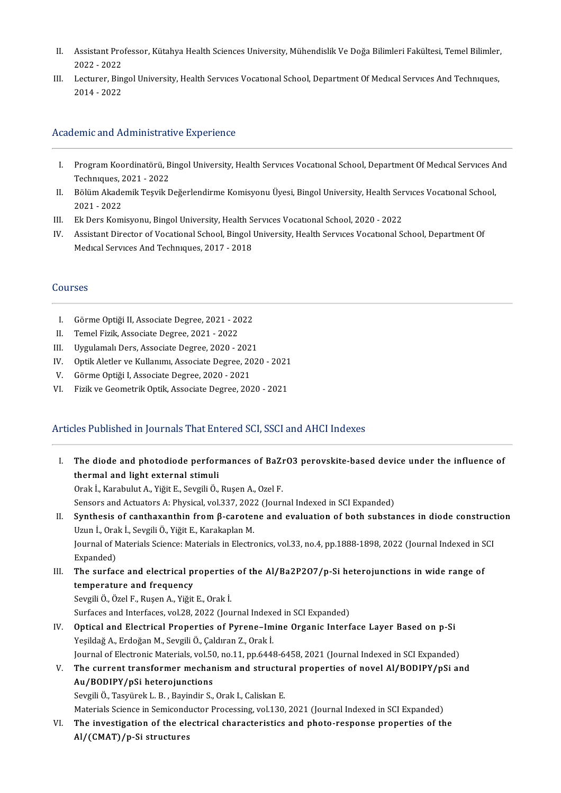- II. Assistant Professor, Kütahya Health Sciences University, Mühendislik Ve Doğa Bilimleri Fakültesi, Temel Bilimler,<br>2022–2022 Assistant Pro<br>2022 - 2022<br>Lecturer Pin II. Assistant Professor, Kütahya Health Sciences University, Mühendislik Ve Doğa Bilimleri Fakültesi, Temel Bilimler<br>2022 - 2022<br>III. Lecturer, Bingol University, Health Services Vocational School, Department Of Medical Se
- 2022 2022<br>III. Lecturer, Bingol University, Health Services Vocational School, Department Of Medical Services And Techniques,<br>2014 2022

#### Academic and Administrative Experience

- cademic and Administrative Experience<br>I. Program Koordinatörü, Bingol University, Health Servıces Vocatıonal School, Department Of Medıcal Servıces And<br>Techniques 2021, 2022 **Program Koordinatörü, B<br>Technıques, 2021 - 2022<br>Bölüm Alsademil: Tesuil: D** I. Program Koordinatörü, Bingol University, Health Services Vocational School, Department Of Medical Services A<br>Techniques, 2021 - 2022<br>II. Bölüm Akademik Teşvik Değerlendirme Komisyonu Üyesi, Bingol University, Health Ser
- Techniques, 2021 2022<br>II. Bölüm Akademik Teşvik Değerlendirme Komisyonu Üyesi, Bingol University, Health Services Vocational School,<br>2021 2022
- III. Ek Ders Komisyonu, Bingol University, Health Services Vocational School, 2020 2022
- 2021 2022<br>III. Ek Ders Komisyonu, Bingol University, Health Services Vocational School, 2020 2022<br>IV. Assistant Director of Vocational School, Bingol University, Health Services Vocational School, Department Of Ek Ders Komisyonu, Bingol University, Health S<br>Assistant Director of Vocational School, Bingol I<br>Medıcal Services And Techniques, 2017 - 2018 Medical Services And Techniques, 2017 - 2018<br>Courses

- I. Görme Optiği II, Associate Degree, 2021 2022<br>II. Temel Fizik. Associate Degree. 2021 2022
- Temel Fizik, Associate Degree, 2021 2022
- I. Görme Optiği II, Associate Degree, 2021 2022<br>II. Temel Fizik, Associate Degree, 2021 2022<br>III. Uygulamalı Ders, Associate Degree, 2020 2021<br>II. Optik Aletler ve Kullerumu Associate Degree, 2021 II. Uygulamalı Ders, Associate Degree, 2020 - 202<br>V. Optik Aletler ve Kullanımı, Associate Degree, 20<br>V. Görme Optiği I, Associate Degree, 2020 - 2021<br>U. Firik ve Coometrik Optik, Associate Degree, 2021
- IV. Optik Aletler ve Kullanımı, Associate Degree, 2020 2021<br>V. Görme Optiği I, Associate Degree, 2020 2021
- 
- VI. Fizik ve Geometrik Optik, Associate Degree, 2020 2021

### Articles Published in Journals That Entered SCI, SSCI and AHCI Indexes

rticles Published in Journals That Entered SCI, SSCI and AHCI Indexes<br>I. The diode and photodiode performances of BaZrO3 perovskite-based device under the influence of<br>thermal and light external stimuli The diode and photodiode perform<br>thermal and light external stimuli<br>Orak L. Karabulut A. Viğit E. Sovali Ö The diode and photodiode performances of BaZı<br>thermal and light external stimuli<br>Orak İ., Karabulut A., Yiğit E., Sevgili Ö., Ruşen A., Ozel F.<br>Sensors and Astuators A. Physisal vol 327, 2022 (Journ thermal and light external stimuli<br>Orak İ., Karabulut A., Yiğit E., Sevgili Ö., Ruşen A., Ozel F.<br>Sensors and Actuators A: Physical, vol.337, 2022 (Journal Indexed in SCI Expanded) Orak İ., Karabulut A., Yiğit E., Sevgili Ö., Ruşen A., Ozel F.<br>Sensors and Actuators A: Physical, vol.337, 2022 (Journal Indexed in SCI Expanded)<br>II. Synthesis of canthaxanthin from β-carotene and evaluation of both subst Sensors and Actuators A: Physical, vol.337, 202:<br>**Synthesis of canthaxanthin from β-carote:**<br>Uzun İ., Orak İ., Sevgili Ö., Yiğit E., Karakaplan M.<br>Journal of Matorials Science: Matorials in Electro Synthesis of canthaxanthin from β-carotene and evaluation of both substances in diode construct<br>Uzun İ., Orak İ., Sevgili Ö., Yiğit E., Karakaplan M.<br>Journal of Materials Science: Materials in Electronics, vol.33, no.4, p Uzun İ., Ora<br>Journal of N<br>Expanded)<br>The surfac Journal of Materials Science: Materials in Electronics, vol.33, no.4, pp.1888-1898, 2022 (Journal Indexed in S<br>Expanded)<br>III. The surface and electrical properties of the Al/Ba2P2O7/p-Si heterojunctions in wide range of<br>te Expanded)<br>The surface and electrical pi<br>temperature and frequency<br>Sevgili Ö. Özel E. Pusen A. Viğit The surface and electrical properties<br>temperature and frequency<br>Sevgili Ö., Özel F., Ruşen A., Yiğit E., Orak İ.<br>Surfaces and Interfaces vol 28, 2022 (Lau temperature and frequency<br>Sevgili Ö., Özel F., Ruşen A., Yiğit E., Orak İ.<br>Surfaces and Interfaces, vol.28, 2022 (Journal Indexed in SCI Expanded) Sevgili Ö., Özel F., Ruşen A., Yiğit E., Orak İ.<br>Surfaces and Interfaces, vol.28, 2022 (Journal Indexed in SCI Expanded)<br>IV. Optical and Electrical Properties of Pyrene–Imine Organic Interface Layer Based on p-Si<br>Vesildağ Surfaces and Interfaces, vol.28, 2022 (Journal Indexe<br>Optical and Electrical Properties of Pyrene–Im<br>Yeşildağ A., Erdoğan M., Sevgili Ö., Çaldıran Z., Orak İ.<br>Journal of Electronis Materials vol.50, no.11, np.644) Optical and Electrical Properties of Pyrene–Imine Organic Interface Layer Based on p-Si<br>Yeşildağ A., Erdoğan M., Sevgili Ö., Çaldıran Z., Orak İ.<br>Journal of Electronic Materials, vol.50, no.11, pp.6448-6458, 2021 (Journal Yeşildağ A., Erdoğan M., Sevgili Ö., Çaldıran Z., Orak İ.<br>Journal of Electronic Materials, vol.50, no.11, pp.6448-6458, 2021 (Journal Indexed in SCI Expanded)<br>V. The current transformer mechanism and structural properties Journal of Electronic Materials, vol.5)<br>The current transformer mechan<br>Au/BODIPY/pSi heterojunctions<br>Seveili Ö. Tesvinal: L. B. Pevindir S. V. The current transformer mechanism and structural properties of novel Al/BODIPY/pSi and<br>Au/BODIPY/pSi heterojunctions<br>Sevgili Ö., Tasyürek L. B. , Bayindir S., Orak I., Caliskan E. Au/BODIPY/pSi heterojunctions<br>Sevgili Ö., Tasyürek L. B. , Bayindir S., Orak I., Caliskan E.<br>Materials Science in Semiconductor Processing, vol.130, 2021 (Journal Indexed in SCI Expanded)<br>The investigation of the electrica Sevgili Ö., Tasyürek L. B. , Bayindir S., Orak I., Caliskan E.<br>Materials Science in Semiconductor Processing, vol.130, 2021 (Journal Indexed in SCI Expanded)<br>VI. The investigation of the electrical characteristics and phot Materials Science in Semicond<br>The investigation of the ele<br>Al/(CMAT)/p-Si structures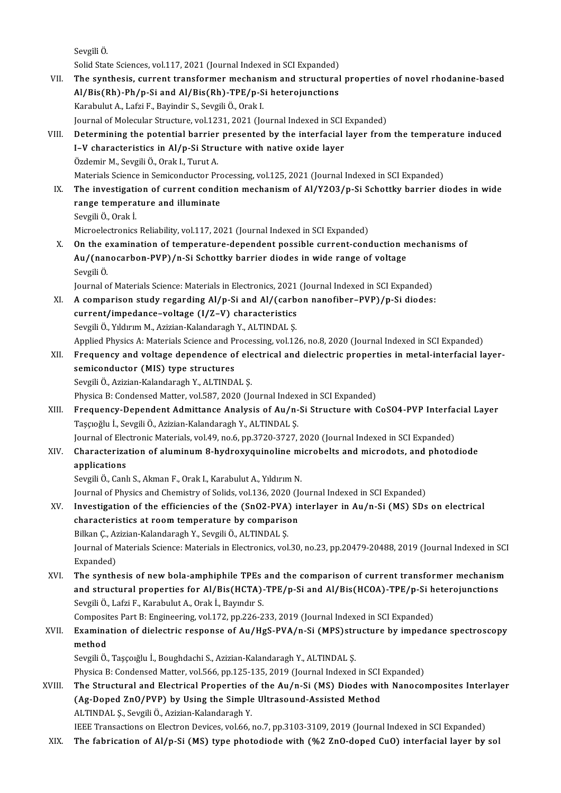Sevgi̇li̇Ö.

Solid State Sciences, vol.117, 2021 (Journal Indexed in SCI Expanded) VII. The synthesis, current transformer mechanism and structural properties of novel rhodanine-based Solid State Sciences, vol.117, 2021 (Journal Indexed in SCI Expanded)<br>The synthesis, current transformer mechanism and structural<br>Al/Bis(Rh)-Ph/p-Si and Al/Bis(Rh)-TPE/p-Si heterojunctions<br>Karabulut A. Lafri E. Bavindin S. The synthesis, current transformer mechani<br>Al/Bis(Rh)-Ph/p-Si and Al/Bis(Rh)-TPE/p-S<br>Karabulut A., Lafzi F., Bayindir S., Sevgili Ö., Orak I.<br>Journal of Mologular Structure vol 1221-2021 (Jo Karabulut A., Lafzi F., Bayindir S., Sevgili Ö., Orak I.<br>Journal of Molecular Structure, vol.1231, 2021 (Journal Indexed in SCI Expanded) Karabulut A., Lafzi F., Bayindir S., Sevgili Ö., Orak I.<br>Journal of Molecular Structure, vol.1231, 2021 (Journal Indexed in SCI Expanded)<br>VIII. Determining the potential barrier presented by the interfacial layer from the Journal of Molecular Structure, vol.1231, 2021 (Journal Indexed in SCI)<br>Determining the potential barrier presented by the interfacial<br>I–V characteristics in Al/p-Si Structure with native oxide layer<br>Özdemir M. Sevgili Ö. Determining the potential barrier<br>I–V characteristics in Al/p-Si Stru<br>Özdemir M., Sevgili Ö., Orak I., Turut A.<br>Materials Science in Semisonduster Pr I–V characteristics in Al/p-Si Structure with native oxide layer<br>Özdemir M., Sevgili Ö., Orak I., Turut A.<br>Materials Science in Semiconductor Processing, vol.125, 2021 (Journal Indexed in SCI Expanded)<br>The investigation of Özdemir M., Sevgili Ö., Orak I., Turut A.<br>Materials Science in Semiconductor Processing, vol.125, 2021 (Journal Indexed in SCI Expanded)<br>IX. The investigation of current condition mechanism of Al/Y2O3/p-Si Schottky barrier Materials Science in Semiconductor Pro<br>The investigation of current condi<br>range temperature and illuminate<br>Savgili Ö. Orak İ. The investigati<br>range tempera<br>Sevgili Ö., Orak İ.<br>Microelestreniss range temperature and illuminate<br>Sevgili Ö., Orak İ.<br>Microelectronics Reliability, vol.117, 2021 (Journal Indexed in SCI Expanded) Sevgili Ö., Orak İ.<br>Microelectronics Reliability, vol.117, 2021 (Journal Indexed in SCI Expanded)<br>X. On the examination of temperature-dependent possible current-conduction mechanisms of Microelectronics Reliability, vol.117, 2021 (Journal Indexed in SCI Expanded)<br>On the examination of temperature-dependent possible current-conduction m<br>Au/(nanocarbon-PVP)/n-Si Schottky barrier diodes in wide range of volt On the e<br>Au/(nan<br>Sevgili Ö.<br>Journal o Au/(nanocarbon-PVP)/n-Si Schottky barrier diodes in wide range of voltage<br>Sevgili Ö.<br>Journal of Materials Science: Materials in Electronics, 2021 (Journal Indexed in SCI Expanded) XI. A comparison study regarding Al/p-Si and Al/(carbon nanofiber–PVP)/p-Si diodes: Journal of Materials Science: Materials in Electronics, 2021<br>A comparison study regarding Al/p-Si and Al/(carbe<br>current/impedance–voltage (I/Z–V) characteristics<br>Savaili Ö, Vilduum M. Azizian Kalandanash V. ALTINDALS A comparison study regarding Al/p-Si and Al/(carb<br>current/impedance-voltage (I/Z-V) characteristics<br>Sevgili Ö., Yıldırım M., Azizian-Kalandaragh Y., ALTINDAL Ş.<br>Annlied Physiss A. Materials Ssiense and Prosessing vol 12 Sevgili Ö., Yıldırım M., Azizian-Kalandaragh Y., ALTINDAL Ş.<br>Applied Physics A: Materials Science and Processing, vol.126, no.8, 2020 (Journal Indexed in SCI Expanded) Sevgili Ö., Yıldırım M., Azizian-Kalandaragh Y., ALTINDAL Ş.<br>Applied Physics A: Materials Science and Processing, vol.126, no.8, 2020 (Journal Indexed in SCI Expanded)<br>XII. Frequency and voltage dependence of electrical an Applied Physics A: Materials Science and Pi<br>Frequency and voltage dependence of<br>semiconductor (MIS) type structures<br>Sevaili Ö, Azizian Kalandarash V, ALTINDA Frequency and voltage dependence of ele<br>semiconductor (MIS) type structures<br>Sevgili Ö., Azizian-Kalandaragh Y., ALTINDAL Ș.<br>Physica B. Condansed Matter vel 597-2020 (Je semiconductor (MIS) type structures<br>Sevgili Ö., Azizian-Kalandaragh Y., ALTINDAL Ş.<br>Physica B: Condensed Matter, vol.587, 2020 (Journal Indexed in SCI Expanded)<br>Frequency, Dopondont Admittance Anglysis of Au (n. Si Structu Sevgili Ö., Azizian-Kalandaragh Y., ALTINDAL Ş.<br>Physica B: Condensed Matter, vol.587, 2020 (Journal Indexed in SCI Expanded)<br>XIII. Frequency-Dependent Admittance Analysis of Au/n-Si Structure with CoSO4-PVP Interfacial Lay Physica B: Condensed Matter, vol.587, 2020 (Journal Index<br>Frequency-Dependent Admittance Analysis of Au/n-<br>Taşçıoğlu İ., Sevgili Ö., Azizian-Kalandaragh Y., ALTINDAL Ş.<br>Journal of Electronic Materials vol.49, no.6, np.3730 Frequency-Dependent Admittance Analysis of Au/n-Si Structure with CoSO4-PVP Interfactorulary<br>Taşçıoğlu İ., Sevgili Ö., Azizian-Kalandaragh Y., ALTINDAL Ş.<br>Journal of Electronic Materials, vol.49, no.6, pp.3720-3727, 2020 ( XIV. Characterization of aluminum 8-hydroxyquinoline microbelts and microdots, and photodiode<br>applications Journal of Elec<br>Characteriza<br>applications<br>Sevgili Ö. Canl Sevgili Ö., Canlı S., Akman F., Orak I., Karabulut A., Yıldırım N. a<mark>pplications</mark><br>Sevgili Ö., Canlı S., Akman F., Orak I., Karabulut A., Yıldırım N.<br>Journal of Physics and Chemistry of Solids, vol.136, 2020 (Journal Indexed in SCI Expanded)<br>Investigation of the efficiencies of the (SnO3, Sevgili Ö., Canlı S., Akman F., Orak I., Karabulut A., Yıldırım N.<br>Journal of Physics and Chemistry of Solids, vol.136, 2020 (Journal Indexed in SCI Expanded)<br>XV. Investigation of the efficiencies of the (SnO2-PVA) interla Journal of Physics and Chemistry of Solids, vol.136, 2020 (Journal of the efficiencies of the (SnO2-PVA) in<br>characteristics at room temperature by comparison<br>Billian C. Agirian Kalandarash V. Saugili Ö. ALTINDALS Investigation of the efficiencies of the (SnO2-PVA)<br>characteristics at room temperature by compariso<br>Bilkan Ç., Azizian-Kalandaragh Y., Sevgili Ö., ALTINDAL Ş.<br>Journal of Materials Ssiance: Materials in Electronics vol characteristics at room temperature by comparison<br>Bilkan Ç., Azizian-Kalandaragh Y., Sevgili Ö., ALTINDAL Ş.<br>Journal of Materials Science: Materials in Electronics, vol.30, no.23, pp.20479-20488, 2019 (Journal Indexed in S Bilkan Ç., Azizian-Kalandaragh Y., Sevgili Ö., ALTINDAL Ş.<br>Journal of Materials Science: Materials in Electronics, vol<br>Expanded) Journal of Materials Science: Materials in Electronics, vol.30, no.23, pp.20479-20488, 2019 (Journal Indexed in SCI<br>Expanded)<br>XVI. The synthesis of new bola-amphiphile TPEs and the comparison of current transformer mechani Expanded)<br>The synthesis of new bola-amphiphile TPEs and the comparison of current transformer mechanisn<br>and structural properties for Al/Bis(HCTA)-TPE/p-Si and Al/Bis(HCOA)-TPE/p-Si heterojunctions<br>Sevali Ö, Lafri E, Karab The synthesis of new bola-amphiphile TPEs<br>and structural properties for Al/Bis(HCTA)-<br>Sevgili Ö., Lafzi F., Karabulut A., Orak İ., Bayındır S.<br>Compositos Part B. Engineering vol.172 np.226.2 and structural properties for Al/Bis(HCTA)-TPE/p-Si and Al/Bis(HCOA)-TPE/p-Si h<br>Sevgili Ö., Lafzi F., Karabulut A., Orak İ., Bayındır S.<br>Composites Part B: Engineering, vol.172, pp.226-233, 2019 (Journal Indexed in SCI Exp Sevgili Ö., Lafzi F., Karabulut A., Orak İ., Bayındır S.<br>Composites Part B: Engineering, vol.172, pp.226-233, 2019 (Journal Indexed in SCI Expanded)<br>XVII. Examination of dielectric response of Au/HgS-PVA/n-Si (MPS)structur Composit<br><mark>Examina</mark><br>method<br>Sevgili Ö Examination of dielectric response of Au/HgS-PVA/n-Si (MPS)str<br>method<br>Sevgili Ö., Taşçoığlu İ., Boughdachi S., Azizian-Kalandaragh Y., ALTINDAL Ş.<br>Physics B. Condensed Metter val 566, np.125,125, 2019 (Journal Indexed method<br>Sevgili Ö., Taşçoığlu İ., Boughdachi S., Azizian-Kalandaragh Y., ALTINDAL Ş.<br>Physica B: Condensed Matter, vol.566, pp.125-135, 2019 (Journal Indexed in SCI Expanded)<br>The Strugtural and Electrical Properties of the A Sevgili Ö., Taşçoığlu İ., Boughdachi S., Azizian-Kalandaragh Y., ALTINDAL Ş.<br>Physica B: Condensed Matter, vol.566, pp.125-135, 2019 (Journal Indexed in SCI Expanded)<br>XVIII. The Structural and Electrical Properties of t Physica B: Condensed Matter, vol.566, pp.125-135, 2019 (Journal Indexed in SCI)<br>The Structural and Electrical Properties of the Au/n-Si (MS) Diodes wit<br>(Ag-Doped ZnO/PVP) by Using the Simple Ultrasound-Assisted Method<br>ALTN (Ag-Doped ZnO/PVP) by Using the Simple Ultrasound-Assisted Method<br>ALTINDAL Ş., Sevgili Ö., Azizian-Kalandaragh Y. IEEE Transactions on Electron Devices, vol.66, no.7, pp.3103-3109, 2019 (Journal Indexed in SCI Expanded) XIX. The fabrication of Al/p-Si (MS) type photodiode with (%2 ZnO-doped CuO) interfacial layer by sol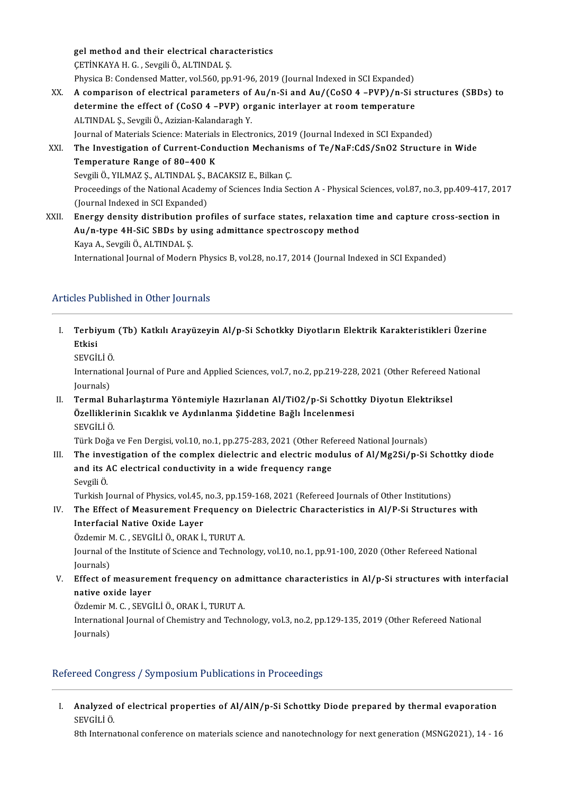gel method and their electrical characteristics<br>CETINVAVA H C - Sevgili Ö, ALTINDAL S gel method and their electrical chara<br>ÇETİNKAYA H. G. , Sevgili Ö., ALTINDAL Ş.<br>Physica B. Candansed Matter val 560 pp. ÇETİNKAYA H. G. , Sevgili Ö., ALTINDAL Ş.<br>Physica B: Condensed Matter, vol.560, pp.91-96, 2019 (Journal Indexed in SCI Expanded) CETINKAYA H. G. , Sevgili Ö., ALTINDAL Ş.<br>Physica B: Condensed Matter, vol.560, pp.91-96, 2019 (Journal Indexed in SCI Expanded)<br>XX. A comparison of electrical parameters of Au/n-Si and Au/(CoSO 4 –PVP)/n-Si structures (SB Physica B: Condensed Matter, vol.560, pp.91-96, 2019 (Journal Indexed in SCI Expanded)<br>A comparison of electrical parameters of Au/n-Si and Au/(CoSO 4 –PVP)/n-Si s<br>determine the effect of (CoSO 4 –PVP) organic interlayer a A comparison of electrical parameters of<br>determine the effect of (CoSO 4 –PVP) or<br>ALTINDAL Ş., Sevgili Ö., Azizian-Kalandaragh Y.<br>Journal of Matorials Science: Matorials in Electr determine the effect of (CoSO 4 –PVP) organic interlayer at room temperature<br>ALTINDAL Ș., Sevgili Ö., Azizian-Kalandaragh Y.<br>Journal of Materials Science: Materials in Electronics, 2019 (Journal Indexed in SCI Expanded)<br>Th ALTINDAL Ș., Sevgili Ö., Azizian-Kalandaragh Y.<br>Journal of Materials Science: Materials in Electronics, 2019 (Journal Indexed in SCI Expanded)<br>XXI. The Investigation of Current-Conduction Mechanisms of Te/NaF:CdS/SnO2 Stru Journal of Materials Science: Materials<br>The Investigation of Current-Cone<br>Temperature Range of 80–400 K<br>Sevgili Ö, VII MAZS, ALTINDALS, PA Sevgili Ö., YILMAZ Ş., ALTINDAL Ş., BACAKSIZ E., Bilkan Ç. Temperature Range of 80–400 K<br>Sevgili Ö., YILMAZ Ş., ALTINDAL Ş., BACAKSIZ E., Bilkan Ç.<br>Proceedings of the National Academy of Sciences India Section A - Physical Sciences, vol.87, no.3, pp.409-417, 2017 Sevgili Ö., YILMAZ Ş., ALTINDAL Ş., I<br>Proceedings of the National Acaden<br>(Journal Indexed in SCI Expanded)<br>Energy density distribution pro Proceedings of the National Academy of Sciences India Section A - Physical Sciences, vol.87, no.3, pp.409-417, 20<br>(Journal Indexed in SCI Expanded)<br>XXII. Energy density distribution profiles of surface states, relaxation t

(Journal Indexed in SCI Expanded)<br>Energy density distribution profiles of surface states, relaxation ti<br>Au/n-type 4H-SiC SBDs by using admittance spectroscopy method<br>Kava A. Savalli Ö. ALTINDALS Energy density distribution<br>Au/n-type 4H-SiC SBDs by u<br>Kaya A., Sevgili Ö., ALTINDAL Ş.<br>International Jeurnal of Modern Kaya A., Sevgili Ö., ALTINDAL Ş.<br>International Journal of Modern Physics B, vol.28, no.17, 2014 (Journal Indexed in SCI Expanded)

## Articles Published in Other Journals

- rticles Published in Other Journals<br>I. Terbiyum (Tb) Katkılı Arayüzeyin Al/p-Si Schotkky Diyotların Elektrik Karakteristikleri Üzerine<br>Etkiej **Frances**<br>Terbiy<br>Etkisi <mark>Terbiyum</mark><br>Etkisi<br>SEVGİLİ Ö.<br>Internation
	-

Etkisi<br>SEVGİLİ Ö.<br>International Journal of Pure and Applied Sciences, vol.7, no.2, pp.219-228, 2021 (Other Refereed National<br>Journals) SEVGİLİ Ö<br>Internatio<br>Journals)<br>Termal B International Journal of Pure and Applied Sciences, vol.7, no.2, pp.219-228, 2021 (Other Refereed N<br>Journals)<br>II. Termal Buharlaştırma Yöntemiyle Hazırlanan Al/TiO2/p-Si Schottky Diyotun Elektriksel<br>Özelliklerinin Steaklık

Journals)<br>Termal Buharlaştırma Yöntemiyle Hazırlanan Al/TiO2/p-Si Schott<br>Özelliklerinin Sıcaklık ve Aydınlanma Şiddetine Bağlı İncelenmesi<br>SEVÇİLİÖ Termal B<mark>u</mark><br>Özellikler<br>SEVGİLİ Ö.<br>Türk Değe Özelliklerinin Sıcaklık ve Aydınlanma Şiddetine Bağlı İncelenmesi<br>SEVGİLİ Ö.<br>Türk Doğa ve Fen Dergisi, vol.10, no.1, pp.275-283, 2021 (Other Refereed National Journals)

III. The investigation of the complex dielectric and electric modulus of  $Al/Mg2Si/p-Si$  Schottky diode Türk Doğa ve Fen Dergisi, vol.10, no.1, pp.275-283, 2021 (Other Ref<br>The investigation of the complex dielectric and electric mod<br>and its AC electrical conductivity in a wide frequency range<br>Sevalli Ö The inve<br>and its A<br>Sevgili Ö.<br>Turkish L

Sevgili Ö.<br>Turkish Journal of Physics, vol.45, no.3, pp.159-168, 2021 (Refereed Journals of Other Institutions)

## Sevgili Ö.<br>Turkish Journal of Physics, vol.45, no.3, pp.159-168, 2021 (Refereed Journals of Other Institutions)<br>IV. The Effect of Measurement Frequency on Dielectric Characteristics in Al/P-Si Structures with<br>Interfacial N Turkish Journal of Physics, vol.45,<br>The Effect of Measurement Fre<br>Interfacial Native Oxide Layer<br>Özdemir M.C., SEVCİLLÖ, OBAK İ The Effect of Measurement Frequency of<br>Interfacial Native Oxide Layer<br>Özdemir M. C. , SEVGİLİ Ö., ORAK İ., TURUT A.<br>Journal of the Institute of Ssience and Techne

Interfacial Native Oxide Layer<br>Özdemir M. C. , SEVGİLİ Ö., ORAK İ., TURUT A.<br>Journal of the Institute of Science and Technology, vol.10, no.1, pp.91-100, 2020 (Other Refereed National Özdemir M<br>Journal of<br>Journals)<br>Effect of Journal of the Institute of Science and Technology, vol.10, no.1, pp.91-100, 2020 (Other Refereed National<br>Journals)<br>V. Effect of measurement frequency on admittance characteristics in Al/p-Si structures with interfacial<br>n

Journals)<br>Effect of measurer<br>native oxide layer<br>Ördemir M.C. SEVC Effect of measurement frequency on ad:<br>native oxide layer<br>Özdemir M. C. , SEVGİLİ Ö., ORAK İ., TURUT A.<br>International Jaurral of Chamistry and Techn

Özdemir M. C., SEVGİLİ Ö., ORAK İ., TURUT A.

native oxide layer<br>Özdemir M. C. , SEVGİLİ Ö., ORAK İ., TURUT A.<br>International Journal of Chemistry and Technology, vol.3, no.2, pp.129-135, 2019 (Other Refereed National<br>Journals)

## Refereed Congress / Symposium Publications in Proceedings

etereed Congress / Symposium Publications in Proceedings<br>I. Analyzed of electrical properties of Al/AlN/p-Si Schottky Diode prepared by thermal evaporation<br>SEVCULLÖ Analyzed<br>SEVGİLİ Ö.<br><sup>9th Intones</sup> Analyzed of electrical properties of Al/AlN/p-Si Schottky Diode prepared by thermal evaporation<br>SEVGİLİ Ö.<br>8th International conference on materials science and nanotechnology for next generation (MSNG2021), 14 - 16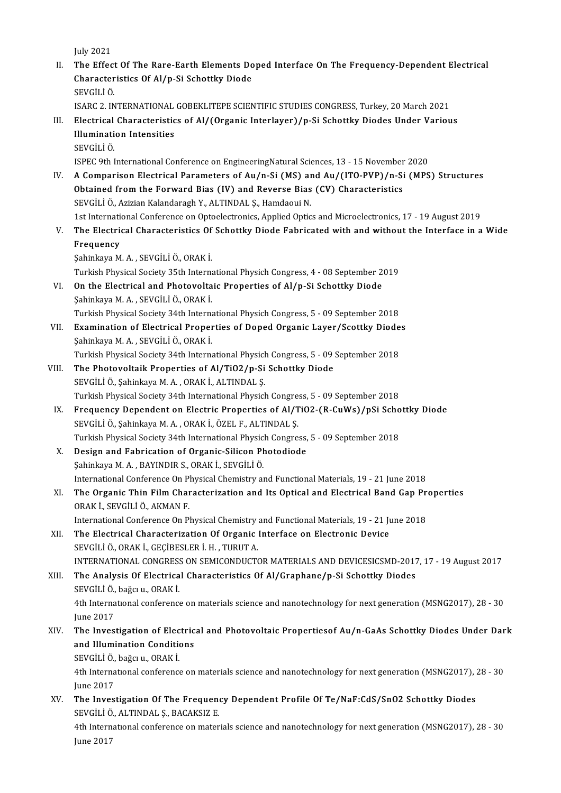July2021

July 2021<br>II. The Effect Of The Rare-Earth Elements Doped Interface On The Frequency-Dependent Electrical July 2021<br>The Effect Of The Rare-Earth Elements Do<br>Characteristics Of Al/p-Si Schottky Diode<br>SEVCU LÖ Characteristics Of Al/p-Si Schottky Diode<br>SEVGİLİÖ. Characteristics Of Al/p-Si Schottky Diode<br>SEVGİLİ Ö.<br>ISARC 2. INTERNATIONAL GOBEKLITEPE SCIENTIFIC STUDIES CONGRESS, Turkey, 20 March 2021<br>Electrical Characteristics of Al/(Organis Interlayer) (p. Si Schottky Diodes Under SEVGİLİ Ö.<br>ISARC 2. INTERNATIONAL GOBEKLITEPE SCIENTIFIC STUDIES CONGRESS, Turkey, 20 March 2021<br>III. Electrical Characteristics of Al/(Organic Interlayer)/p-Si Schottky Diodes Under Various<br>Illumination Intensities **ISARC 2. INTERNATIONAL<br>Electrical Characteristic<br>Illumination Intensities<br>sevcit i ö** III. Electrical Characteristics of Al/(Organic Interlayer)/p-Si Schottky Diodes Under Various<br>Illumination Intensities<br>SEVGİLİ Ö. ISPEC9thInternationalConference onEngineeringNaturalSciences,13-15November 2020 SEVGİLİ Ö.<br>ISPEC 9th International Conference on EngineeringNatural Sciences, 13 - 15 November 2020<br>IV. A Comparison Electrical Parameters of Au/n-Si (MS) and Au/(ITO-PVP)/n-Si (MPS) Structures<br>Obtained from the Enguard ISPEC 9th International Conference on EngineeringNatural Sciences, 13 - 15 November<br>A Comparison Electrical Parameters of Au/n-Si (MS) and Au/(ITO-PVP)/n-Si<br>Obtained from the Forward Bias (IV) and Reverse Bias (CV) Charact A Comparison Electrical Parameters of Au/n-Si (MS) ar<br>Obtained from the Forward Bias (IV) and Reverse Bias<br>SEVGİLİ Ö., Azizian Kalandaragh Y., ALTINDAL Ş., Hamdaoui N.<br>1st International Conference on Optoelectronics, Appli 0btained from the Forward Bias (IV) and Reverse Bias (CV) Characteristics<br>SEVGİLİ Ö., Azizian Kalandaragh Y., ALTINDAL Ş., Hamdaoui N.<br>1st International Conference on Optoelectronics, Applied Optics and Microelectronics, 1 SEVGİLİ Ö., Azizian Kalandaragh Y., ALTINDAL Ş., Hamdaoui N.<br>1st International Conference on Optoelectronics, Applied Optics and Microelectronics, 17 - 19 August 2019<br>1. The Electrical Characteristics Of Schottky Diode Fab 1st Internation<br>The Electric<br>Frequency<br>Sobinkava M The Electrical Characteristics Of<br>Frequency<br>Şahinkaya M.A., SEVGİLİ Ö., ORAK İ.<br>Turkich Physical Sociaty 25th Interne Frequency<br>Şahinkaya M. A. , SEVGİLİ Ö., ORAK İ.<br>Turkish Physical Society 35th International Physich Congress, 4 - 08 September 2019 Sahinkaya M. A. , SEVGİLİ Ö., ORAK İ.<br>Turkish Physical Society 35th International Physich Congress, 4 - 08 September 2<br>VI. On the Electrical and Photovoltaic Properties of Al/p-Si Schottky Diode<br>Sahinkaya M. A. SEVCİLİ Ö. Turkish Physical Society 35th Interna<br>On the Electrical and Photovolta<br>Şahinkaya M.A. , SEVGİLİ Ö., ORAK İ.<br>Turkish Physical Society 24th Interna On the Electrical and Photovoltaic Properties of Al/p-Si Schottky Diode<br>Sahinkaya M. A. , SEVGİLİ Ö., ORAK İ.<br>Turkish Physical Society 34th International Physich Congress, 5 - 09 September 2018<br>Evamination of Electrical Pr Sahinkaya M. A. , SEVGİLİ Ö., ORAK İ.<br>Turkish Physical Society 34th International Physich Congress, 5 - 09 September 2018<br>VII. Examination of Electrical Properties of Doped Organic Layer/Scottky Diodes<br>Sahinkaya M. A. SEVC Turkish Physical Society 34th Interna<br>**Examination of Electrical Proper**<br>Şahinkaya M. A. , SEVGİLİ Ö., ORAK İ.<br>Turkish Physical Society 34th Interna Examination of Electrical Properties of Doped Organic Layer/Scottky Diode<br>Sahinkaya M. A. , SEVGİLİ Ö., ORAK İ.<br>Turkish Physical Society 34th International Physich Congress, 5 - 09 September 2018<br>The Photoveltaik Propertie Sahinkaya M. A. , SEVGİLİ Ö., ORAK İ.<br>Turkish Physical Society 34th International Physich Congress, 5 - 09<br>VIII. The Photovoltaik Properties of Al/TiO2/p-Si Schottky Diode<br>SEVGİLİ Ö., Şahinkaya M. A. , ORAK İ., ALTINDAL Ş. Turkish Physical Society 34th International Physic<br>The Photovoltaik Properties of Al/TiO2/p-Si<br>SEVGİLİ Ö., Şahinkaya M.A. , ORAK İ., ALTINDAL Ş.<br>Turkish Physical Society 34th International Physich The Photovoltaik Properties of Al/TiO2/p-Si Schottky Diode<br>SEVGİLİ Ö., Şahinkaya M. A. , ORAK İ., ALTINDAL Ş.<br>Turkish Physical Society 34th International Physich Congress, 5 - 09 September 2018<br>Frequency Dependent on Elect IX. Frequency Dependent on Electric Properties of Al/TiO2-(R-CuWs)/pSi Schottky Diode<br>SEVGILI Ö., Şahinkaya M. A., ORAK İ., ÖZEL F., ALTINDAL Ş. Turkish Physical Society 34th International Physich Congres<br>Frequency Dependent on Electric Properties of Al/T<br>SEVGİLİ Ö., Şahinkaya M. A. , ORAK İ., ÖZEL F., ALTINDAL Ş.<br>Turkish Physical Society 34th International Physich Frequency Dependent on Electric Properties of Al/TiO2-(R-CuWs)/pSi Scho<br>SEVGİLİ Ö., Şahinkaya M. A. , ORAK İ., ÖZEL F., ALTINDAL Ş.<br>Turkish Physical Society 34th International Physich Congress, 5 - 09 September 2018<br>Docian SEVGİLİ Ö., Şahinkaya M. A. , ORAK İ., ÖZEL F., ALTINDAL Ş.<br>Turkish Physical Society 34th International Physich Congress,<br>X. Design and Fabrication of Organic-Silicon Photodiode<br>Sobinkaya M. A. PAYNDIR S. ORAK İ. SEVÇİLİ Ö Turkish Physical Society 34th International Physic<br>Design and Fabrication of Organic-Silicon Ph<br>Sahinkaya M.A., BAYINDIR S., ORAK İ., SEVGİLİ Ö.<br>International Conference On Physical Chamistry or Design and Fabrication of Organic-Silicon Photodiode<br>Sahinkaya M. A. , BAYINDIR S., ORAK İ., SEVGİLİ Ö.<br>International Conference On Physical Chemistry and Functional Materials, 19 - 21 June 2018<br>The Organis Thin Eilm Chara Sahinkaya M. A. , BAYINDIR S., ORAK İ., SEVGİLİ Ö.<br>International Conference On Physical Chemistry and Functional Materials, 19 - 21 June 2018<br>XI. The Organic Thin Film Characterization and Its Optical and Electrical Band G International Conference On P<br>The Organic Thin Film Char<br>ORAK İ., SEVGİLİ Ö., AKMAN F.<br>International Conference On Pl The Organic Thin Film Characterization and Its Optical and Electrical Band Gap Pr<br>ORAK İ., SEVGİLİ Ö., AKMAN F.<br>International Conference On Physical Chemistry and Functional Materials, 19 - 21 June 2018<br>The Electrical Char ORAK İ., SEVGİLİ Ö., AKMAN F.<br>International Conference On Physical Chemistry and Functional Materials, 19 - 21 Ju<br>XII. The Electrical Characterization Of Organic Interface on Electronic Device<br>SEVCU LÖ, ORAK L. CECIPESLED International Conference On Physical Chemistry<br>The Electrical Characterization Of Organic<br>SEVGİLİ Ö., ORAK İ., GEÇİBESLER İ. H. , TURUT A.<br>INTERNATIONAL CONCRESS ON SEMICONDUCTO The Electrical Characterization Of Organic Interface on Electronic Device<br>SEVGİLİ Ö., ORAK İ., GEÇİBESLER İ.H. , TURUT A.<br>INTERNATIONAL CONGRESS ON SEMICONDUCTOR MATERIALS AND DEVICESICSMD-2017, 17 - 19 August 2017<br>The Ana SEVGİLİ Ö., ORAK İ., GEÇİBESLER İ. H. , TURUT A.<br>INTERNATIONAL CONGRESS ON SEMICONDUCTOR MATERIALS AND DEVICESICSMD-2017<br>XIII. The Analysis Of Electrical Characteristics Of Al/Graphane/p-Si Schottky Diodes<br>SEVCİLLÖ bağcı v INTERNATIONAL CONGRESS<br>The Analysis Of Electrica<br>SEVGİLİ Ö., bağcı u., ORAK İ.<br>4th International senferense The Analysis Of Electrical Characteristics Of Al/Graphane/p-Si Schottky Diodes<br>SEVGİLİ Ö., bağcı u., ORAK İ.<br>4th International conference on materials science and nanotechnology for next generation (MSNG2017), 28 - 30<br>Iune SEVGİLİ Ö.,<br>4th Interna<br>June 2017<br>The Inves 4th International conference on materials science and nanotechnology for next generation (MSNG2017), 28 - 30<br>June 2017<br>XIV. The Investigation of Electrical and Photovoltaic Propertiesof Au/n-GaAs Schottky Diodes Under Dark June 2017<br>The Investigation of Electric<br>and Illumination Conditions<br>SEVCU LÖ beğgun OPAK İ The Investigation of Elec<br>and Illumination Condition<br>SEVGİLİ Ö., bağcıu., ORAK İ.<br>Ath International conference 9 and Illumination Conditions<br>SEVGİLİ Ö., bağcı u., ORAK İ.<br>4th International conference on materials science and nanotechnology for next generation (MSNG2017), 28 - 30<br>June 2017 SEVGİLİ Ö, bağcı u., ORAK İ 4th International conference on materials science and nanotechnology for next generation (MSNG2017), <br>June 2017<br>XV. The Investigation Of The Frequency Dependent Profile Of Te/NaF:CdS/SnO2 Schottky Diodes<br>SEVCULLÖ ALTINDALS June 2017<br><mark>The Investigation Of The Frequen</mark><br>SEVGİLİ Ö., ALTINDAL Ş., BACAKSIZ E.<br>4th International senferense en mater The Investigation Of The Frequency Dependent Profile Of Te/NaF:CdS/SnO2 Schottky Diodes<br>SEVGİLİ Ö., ALTINDAL Ş., BACAKSIZ E.<br>4th International conference on materials science and nanotechnology for next generation (MSNG201 SEVGİLİ Ö<br>4th Intern<br>June 2017